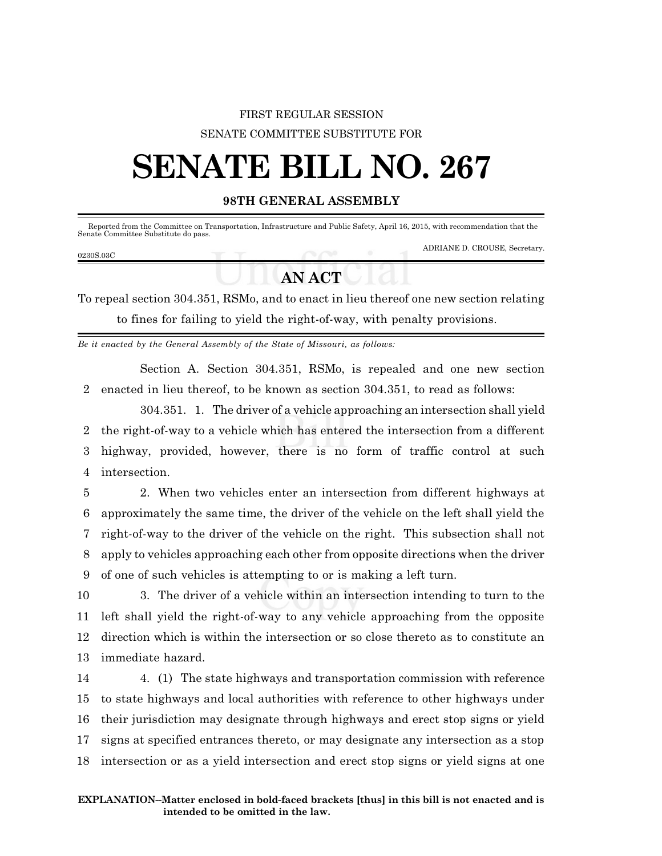## FIRST REGULAR SESSION SENATE COMMITTEE SUBSTITUTE FOR

# **SENATE BILL NO. 267**

### **98TH GENERAL ASSEMBLY**

 Reported from the Committee on Transportation, Infrastructure and Public Safety, April 16, 2015, with recommendation that the Senate Committee Substitute do pass.

#### 0230S.03C

ADRIANE D. CROUSE, Secretary.

## **AN ACT**

To repeal section 304.351, RSMo, and to enact in lieu thereof one new section relating to fines for failing to yield the right-of-way, with penalty provisions.

*Be it enacted by the General Assembly of the State of Missouri, as follows:*

Section A. Section 304.351, RSMo, is repealed and one new section 2 enacted in lieu thereof, to be known as section 304.351, to read as follows:

304.351. 1. The driver of a vehicle approaching an intersection shall yield the right-of-way to a vehicle which has entered the intersection from a different highway, provided, however, there is no form of traffic control at such intersection.

 2. When two vehicles enter an intersection from different highways at approximately the same time, the driver of the vehicle on the left shall yield the right-of-way to the driver of the vehicle on the right. This subsection shall not apply to vehicles approaching each other from opposite directions when the driver of one of such vehicles is attempting to or is making a left turn.

 3. The driver of a vehicle within an intersection intending to turn to the left shall yield the right-of-way to any vehicle approaching from the opposite direction which is within the intersection or so close thereto as to constitute an immediate hazard.

 4. (1) The state highways and transportation commission with reference to state highways and local authorities with reference to other highways under their jurisdiction may designate through highways and erect stop signs or yield signs at specified entrances thereto, or may designate any intersection as a stop intersection or as a yield intersection and erect stop signs or yield signs at one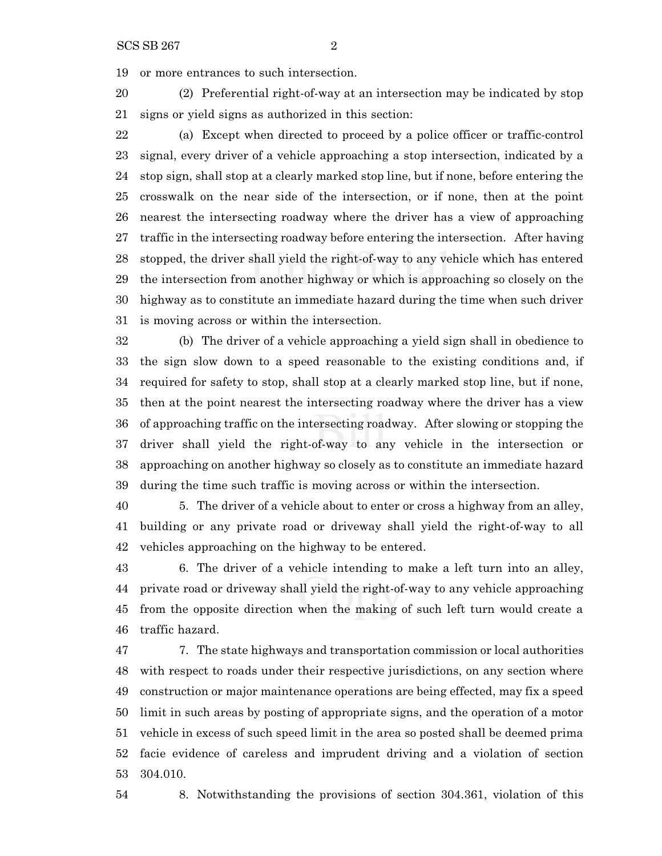or more entrances to such intersection.

 (2) Preferential right-of-way at an intersection may be indicated by stop signs or yield signs as authorized in this section:

 (a) Except when directed to proceed by a police officer or traffic-control signal, every driver of a vehicle approaching a stop intersection, indicated by a stop sign, shall stop at a clearly marked stop line, but if none, before entering the crosswalk on the near side of the intersection, or if none, then at the point nearest the intersecting roadway where the driver has a view of approaching traffic in the intersecting roadway before entering the intersection. After having stopped, the driver shall yield the right-of-way to any vehicle which has entered the intersection from another highway or which is approaching so closely on the highway as to constitute an immediate hazard during the time when such driver is moving across or within the intersection.

 (b) The driver of a vehicle approaching a yield sign shall in obedience to the sign slow down to a speed reasonable to the existing conditions and, if required for safety to stop, shall stop at a clearly marked stop line, but if none, then at the point nearest the intersecting roadway where the driver has a view of approaching traffic on the intersecting roadway. After slowing or stopping the driver shall yield the right-of-way to any vehicle in the intersection or approaching on another highway so closely as to constitute an immediate hazard during the time such traffic is moving across or within the intersection.

 5. The driver of a vehicle about to enter or cross a highway from an alley, building or any private road or driveway shall yield the right-of-way to all vehicles approaching on the highway to be entered.

 6. The driver of a vehicle intending to make a left turn into an alley, private road or driveway shall yield the right-of-way to any vehicle approaching from the opposite direction when the making of such left turn would create a traffic hazard.

 7. The state highways and transportation commission or local authorities with respect to roads under their respective jurisdictions, on any section where construction or major maintenance operations are being effected, may fix a speed limit in such areas by posting of appropriate signs, and the operation of a motor vehicle in excess of such speed limit in the area so posted shall be deemed prima facie evidence of careless and imprudent driving and a violation of section 304.010.

8. Notwithstanding the provisions of section 304.361, violation of this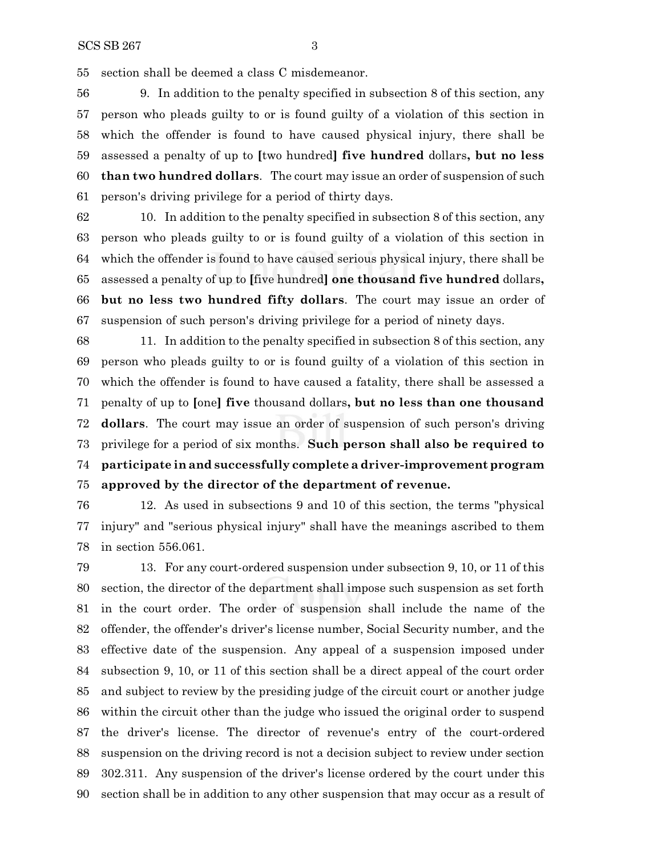section shall be deemed a class C misdemeanor.

 9. In addition to the penalty specified in subsection 8 of this section, any person who pleads guilty to or is found guilty of a violation of this section in which the offender is found to have caused physical injury, there shall be assessed a penalty of up to **[**two hundred**] five hundred** dollars**, but no less than two hundred dollars**. The court may issue an order of suspension of such person's driving privilege for a period of thirty days.

 10. In addition to the penalty specified in subsection 8 of this section, any person who pleads guilty to or is found guilty of a violation of this section in which the offender is found to have caused serious physical injury, there shall be assessed a penalty of up to **[**five hundred**] one thousand five hundred** dollars**, but no less two hundred fifty dollars**. The court may issue an order of suspension of such person's driving privilege for a period of ninety days.

 11. In addition to the penalty specified in subsection 8 of this section, any person who pleads guilty to or is found guilty of a violation of this section in which the offender is found to have caused a fatality, there shall be assessed a penalty of up to **[**one**] five** thousand dollars**, but no less than one thousand dollars**. The court may issue an order of suspension of such person's driving privilege for a period of six months. **Such person shall also be required to participate in and successfully complete a driver-improvement program approved by the director of the department of revenue.**

 12. As used in subsections 9 and 10 of this section, the terms "physical injury" and "serious physical injury" shall have the meanings ascribed to them in section 556.061.

 13. For any court-ordered suspension under subsection 9, 10, or 11 of this section, the director of the department shall impose such suspension as set forth in the court order. The order of suspension shall include the name of the offender, the offender's driver's license number, Social Security number, and the effective date of the suspension. Any appeal of a suspension imposed under subsection 9, 10, or 11 of this section shall be a direct appeal of the court order and subject to review by the presiding judge of the circuit court or another judge within the circuit other than the judge who issued the original order to suspend the driver's license. The director of revenue's entry of the court-ordered suspension on the driving record is not a decision subject to review under section 302.311. Any suspension of the driver's license ordered by the court under this section shall be in addition to any other suspension that may occur as a result of